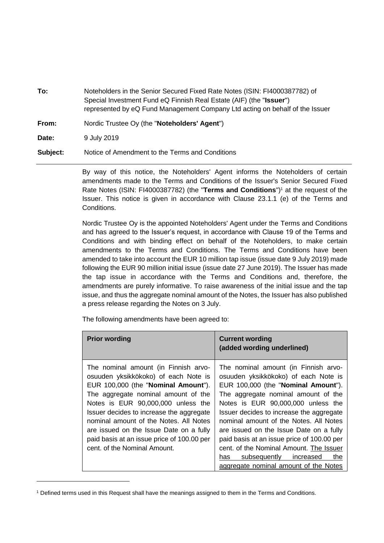**To:** Noteholders in the Senior Secured Fixed Rate Notes (ISIN: FI4000387782) of Special Investment Fund eQ Finnish Real Estate (AIF) (the "**Issuer**") represented by eQ Fund Management Company Ltd acting on behalf of the Issuer

**From:** Nordic Trustee Oy (the "**Noteholders' Agent**")

**Date:** 9 July 2019

1

**Subject:** Notice of Amendment to the Terms and Conditions

By way of this notice, the Noteholders' Agent informs the Noteholders of certain amendments made to the Terms and Conditions of the Issuer's Senior Secured Fixed Rate Notes (ISIN: FI4000387782) (the "**Terms and Conditions**")<sup>1</sup> at the request of the Issuer. This notice is given in accordance with Clause 23.1.1 (e) of the Terms and Conditions.

Nordic Trustee Oy is the appointed Noteholders' Agent under the Terms and Conditions and has agreed to the Issuer's request, in accordance with Clause 19 of the Terms and Conditions and with binding effect on behalf of the Noteholders, to make certain amendments to the Terms and Conditions. The Terms and Conditions have been amended to take into account the EUR 10 million tap issue (issue date 9 July 2019) made following the EUR 90 million initial issue (issue date 27 June 2019). The Issuer has made the tap issue in accordance with the Terms and Conditions and, therefore, the amendments are purely informative. To raise awareness of the initial issue and the tap issue, and thus the aggregate nominal amount of the Notes, the Issuer has also published a press release regarding the Notes on 3 July.

The following amendments have been agreed to:

| <b>Prior wording</b>                                                                                                                                                                                                                                                                                                                                                                                            | <b>Current wording</b><br>(added wording underlined)                                                                                                                                                                                                                                                                                                                                                                                                                  |
|-----------------------------------------------------------------------------------------------------------------------------------------------------------------------------------------------------------------------------------------------------------------------------------------------------------------------------------------------------------------------------------------------------------------|-----------------------------------------------------------------------------------------------------------------------------------------------------------------------------------------------------------------------------------------------------------------------------------------------------------------------------------------------------------------------------------------------------------------------------------------------------------------------|
| The nominal amount (in Finnish arvo-<br>osuuden yksikkökoko) of each Note is<br>EUR 100,000 (the "Nominal Amount").<br>The aggregate nominal amount of the<br>Notes is EUR 90,000,000 unless the<br>Issuer decides to increase the aggregate<br>nominal amount of the Notes. All Notes<br>are issued on the Issue Date on a fully<br>paid basis at an issue price of 100.00 per<br>cent. of the Nominal Amount. | The nominal amount (in Finnish arvo-<br>osuuden yksikkökoko) of each Note is<br>EUR 100,000 (the "Nominal Amount").<br>The aggregate nominal amount of the<br>Notes is EUR 90,000,000 unless the<br>Issuer decides to increase the aggregate<br>nominal amount of the Notes. All Notes<br>are issued on the Issue Date on a fully<br>paid basis at an issue price of 100.00 per<br>cent. of the Nominal Amount. The Issuer<br>subsequently<br>increased<br>the<br>has |
|                                                                                                                                                                                                                                                                                                                                                                                                                 | aggregate nominal amount of the Notes                                                                                                                                                                                                                                                                                                                                                                                                                                 |

<sup>1</sup> Defined terms used in this Request shall have the meanings assigned to them in the Terms and Conditions.